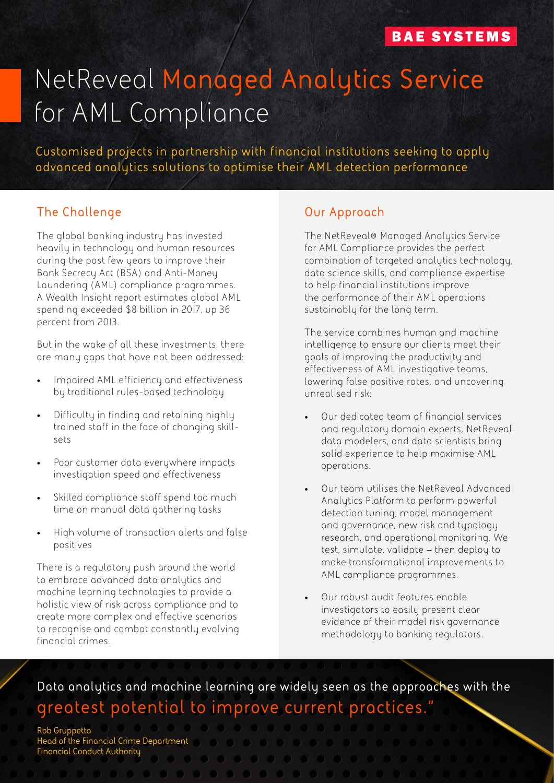# NetReveal **Managed Analytics Service** for AML Compliance

**Customised projects in partnership with financial institutions seeking to apply advanced analytics solutions to optimise their AML detection performance**

#### **The Challenge**

The global banking industry has invested heavily in technology and human resources during the past few years to improve their Bank Secrecy Act (BSA) and Anti-Money Laundering (AML) compliance programmes. A Wealth Insight report estimates global AML spending exceeded \$8 billion in 2017, up 36 percent from 2013.

But in the wake of all these investments, there are many gaps that have not been addressed:

- Impaired AML efficiency and effectiveness by traditional rules-based technology
- Difficulty in finding and retaining highly trained staff in the face of changing skillsets
- Poor customer data everywhere impacts investigation speed and effectiveness
- Skilled compliance staff spend too much time on manual data gathering tasks
- High volume of transaction alerts and false positives

There is a regulatory push around the world to embrace advanced data analytics and machine learning technologies to provide a holistic view of risk across compliance and to create more complex and effective scenarios **"**to recognise and combat constantly evolving financial crimes.

#### **Our Approach**

The NetReveal® Managed Analytics Service for AML Compliance provides the perfect combination of targeted analytics technology, data science skills, and compliance expertise to help financial institutions improve the performance of their AML operations sustainably for the long term.

The service combines human and machine intelligence to ensure our clients meet their goals of improving the productivity and effectiveness of AML investigative teams, lowering false positive rates, and uncovering unrealised risk:

- Our dedicated team of financial services and regulatory domain experts, NetReveal data modelers, and data scientists bring solid experience to help maximise AML operations.
- Our team utilises the NetReveal Advanced Analytics Platform to perform powerful detection tuning, model management and governance, new risk and typology research, and operational monitoring. We test, simulate, validate – then deploy to make transformational improvements to AML compliance programmes.
- Our robust audit features enable investigators to easily present clear evidence of their model risk governance methodology to banking regulators.

**Data analytics and machine learning are widely seen as the approaches with the greatest potential to improve current practices."**

**Rob Gruppetta Head of the Financial Crime Department Financial Conduct Authority**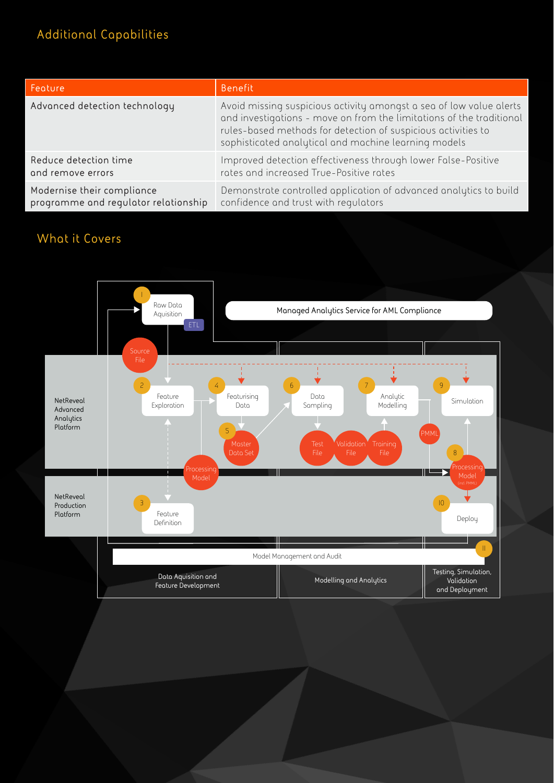### **Additional Capabilities**

| Feature                              | Benefit                                                                                                                                                                                                                                                              |
|--------------------------------------|----------------------------------------------------------------------------------------------------------------------------------------------------------------------------------------------------------------------------------------------------------------------|
| Advanced detection technology        | Avoid missing suspicious activity amongst a sea of low value alerts<br>and investigations - move on from the limitations of the traditional<br>rules-based methods for detection of suspicious activities to<br>sophisticated analytical and machine learning models |
| Reduce detection time                | Improved detection effectiveness through lower False-Positive                                                                                                                                                                                                        |
| and remove errors                    | rates and increased True-Positive rates                                                                                                                                                                                                                              |
| Modernise their compliance           | Demonstrate controlled application of advanced analytics to build                                                                                                                                                                                                    |
| programme and regulator relationship | confidence and trust with regulators                                                                                                                                                                                                                                 |

#### **What it Covers**

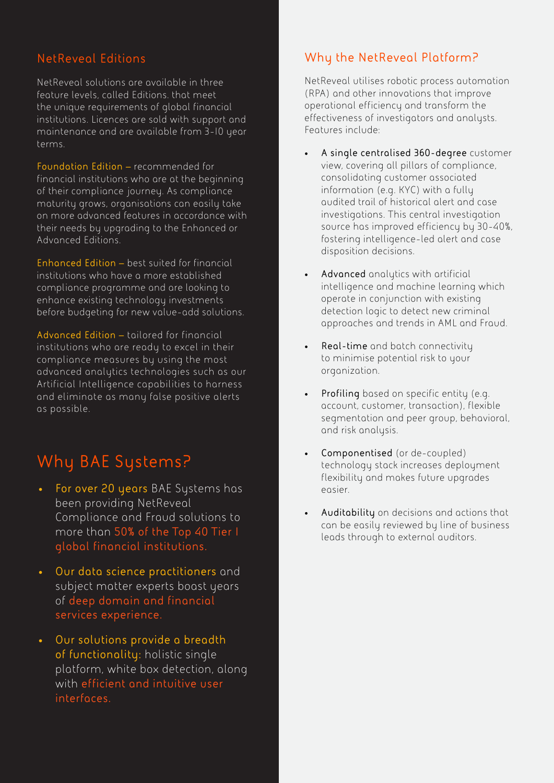#### **NetReveal Editions**

NetReveal solutions are available in three feature levels, called Editions. that meet the unique requirements of global financial institutions. Licences are sold with support and maintenance and are available from 3-10 year terms.

**Foundation Edition –** recommended for financial institutions who are at the beginning of their compliance journey. As compliance maturity grows, organisations can easily take on more advanced features in accordance with their needs by upgrading to the Enhanced or Advanced Editions.

**Enhanced Edition –** best suited for financial institutions who have a more established compliance programme and are looking to enhance existing technology investments before budgeting for new value-add solutions.

**Advanced Edition –** tailored for financial institutions who are ready to excel in their compliance measures by using the most advanced analytics technologies such as our Artificial Intelligence capabilities to harness and eliminate as many false positive alerts as possible.

# **Why BAE Systems?**

- **• For over 20 years** BAE Systems has been providing NetReveal Compliance and Fraud solutions to more than **50% of the Top 40 Tier I global financial institutions.**
- **• Our data science practitioners** and subject matter experts boast years of **deep domain and financial services experience.**
- **• Our solutions provide a breadth of functionality:** holistic single platform, white box detection, along with **efficient and intuitive user interfaces.**

#### **Why the NetReveal Platform?**

NetReveal utilises robotic process automation (RPA) and other innovations that improve operational efficiency and transform the effectiveness of investigators and analysts. Features include:

- **• A single centralised 360-degree** customer view, covering all pillars of compliance, consolidating customer associated information (e.g. KYC) with a fully audited trail of historical alert and case investigations. This central investigation source has improved efficiency by 30-40%, fostering intelligence-led alert and case disposition decisions.
- **• Advanced** analytics with artificial intelligence and machine learning which operate in conjunction with existing detection logic to detect new criminal approaches and trends in AML and Fraud.
- **• Real-time** and batch connectivity to minimise potential risk to your organization.
- **• Profiling** based on specific entity (e.g. account, customer, transaction), flexible segmentation and peer group, behavioral, and risk analysis.
- **• Componentised** (or de-coupled) technology stack increases deployment flexibility and makes future upgrades easier.
- **• Auditability** on decisions and actions that can be easily reviewed by line of business leads through to external auditors.